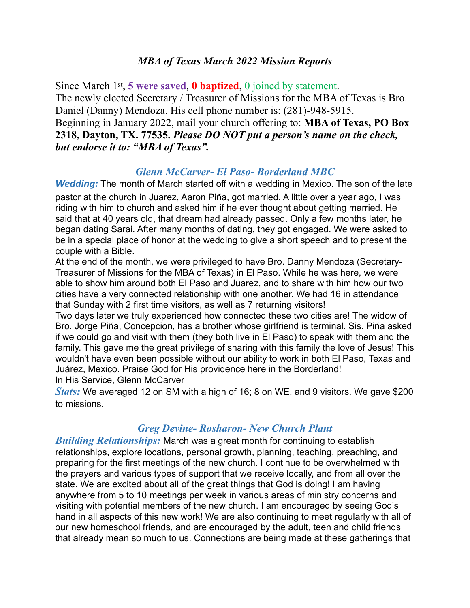#### *MBA of Texas March 2022 Mission Reports*

Since March 1st, **5 were saved**, **0 baptized**, 0 joined by statement. The newly elected Secretary / Treasurer of Missions for the MBA of Texas is Bro. Daniel (Danny) Mendoza. His cell phone number is: (281)-948-5915. Beginning in January 2022, mail your church offering to: **MBA of Texas, PO Box 2318, Dayton, TX. 77535.** *Please DO NOT put a person's name on the check, but endorse it to: "MBA of Texas".* 

### *Glenn McCarver- El Paso- Borderland MBC*

*Wedding:* The month of March started off with a wedding in Mexico. The son of the late pastor at the church in Juarez, Aaron Piña, got married. A little over a year ago, I was riding with him to church and asked him if he ever thought about getting married. He said that at 40 years old, that dream had already passed. Only a few months later, he began dating Sarai. After many months of dating, they got engaged. We were asked to be in a special place of honor at the wedding to give a short speech and to present the couple with a Bible.

At the end of the month, we were privileged to have Bro. Danny Mendoza (Secretary-Treasurer of Missions for the MBA of Texas) in El Paso. While he was here, we were able to show him around both El Paso and Juarez, and to share with him how our two cities have a very connected relationship with one another. We had 16 in attendance that Sunday with 2 first time visitors, as well as 7 returning visitors!

Two days later we truly experienced how connected these two cities are! The widow of Bro. Jorge Piña, Concepcion, has a brother whose girlfriend is terminal. Sis. Piña asked if we could go and visit with them (they both live in El Paso) to speak with them and the family. This gave me the great privilege of sharing with this family the love of Jesus! This wouldn't have even been possible without our ability to work in both El Paso, Texas and Juárez, Mexico. Praise God for His providence here in the Borderland! In His Service, Glenn McCarver

*Stats:* We averaged 12 on SM with a high of 16; 8 on WE, and 9 visitors. We gave \$200 to missions.

## *Greg Devine- Rosharon- New Church Plant*

*Building Relationships:* March was a great month for continuing to establish relationships, explore locations, personal growth, planning, teaching, preaching, and preparing for the first meetings of the new church. I continue to be overwhelmed with the prayers and various types of support that we receive locally, and from all over the state. We are excited about all of the great things that God is doing! I am having anywhere from 5 to 10 meetings per week in various areas of ministry concerns and visiting with potential members of the new church. I am encouraged by seeing God's hand in all aspects of this new work! We are also continuing to meet regularly with all of our new homeschool friends, and are encouraged by the adult, teen and child friends that already mean so much to us. Connections are being made at these gatherings that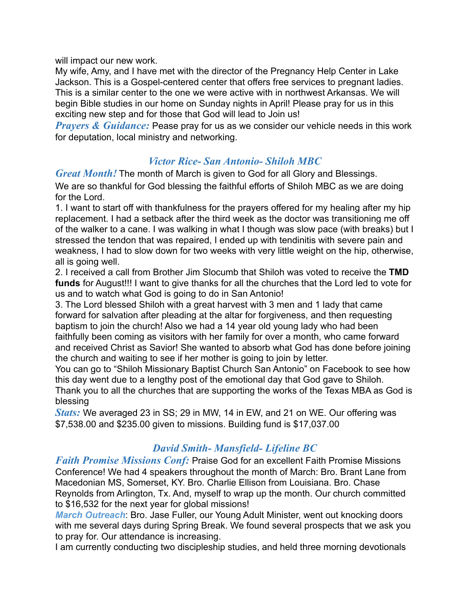will impact our new work.

My wife, Amy, and I have met with the director of the Pregnancy Help Center in Lake Jackson. This is a Gospel-centered center that offers free services to pregnant ladies. This is a similar center to the one we were active with in northwest Arkansas. We will begin Bible studies in our home on Sunday nights in April! Please pray for us in this exciting new step and for those that God will lead to Join us!

*Prayers & Guidance:* Pease pray for us as we consider our vehicle needs in this work for deputation, local ministry and networking.

# *Victor Rice- San Antonio- Shiloh MBC*

*Great Month!* The month of March is given to God for all Glory and Blessings. We are so thankful for God blessing the faithful efforts of Shiloh MBC as we are doing for the Lord.

1. I want to start off with thankfulness for the prayers offered for my healing after my hip replacement. I had a setback after the third week as the doctor was transitioning me off of the walker to a cane. I was walking in what I though was slow pace (with breaks) but I stressed the tendon that was repaired, I ended up with tendinitis with severe pain and weakness, I had to slow down for two weeks with very little weight on the hip, otherwise, all is going well.

2. I received a call from Brother Jim Slocumb that Shiloh was voted to receive the **TMD funds** for August!!! I want to give thanks for all the churches that the Lord led to vote for us and to watch what God is going to do in San Antonio!

3. The Lord blessed Shiloh with a great harvest with 3 men and 1 lady that came forward for salvation after pleading at the altar for forgiveness, and then requesting baptism to join the church! Also we had a 14 year old young lady who had been faithfully been coming as visitors with her family for over a month, who came forward and received Christ as Savior! She wanted to absorb what God has done before joining the church and waiting to see if her mother is going to join by letter.

You can go to "Shiloh Missionary Baptist Church San Antonio" on Facebook to see how this day went due to a lengthy post of the emotional day that God gave to Shiloh. Thank you to all the churches that are supporting the works of the Texas MBA as God is blessing

*Stats:* We averaged 23 in SS; 29 in MW, 14 in EW, and 21 on WE. Our offering was \$7,538.00 and \$235.00 given to missions. Building fund is \$17,037.00

## *David Smith- Mansfield- Lifeline BC*

*Faith Promise Missions Conf:* Praise God for an excellent Faith Promise Missions Conference! We had 4 speakers throughout the month of March: Bro. Brant Lane from Macedonian MS, Somerset, KY. Bro. Charlie Ellison from Louisiana. Bro. Chase Reynolds from Arlington, Tx. And, myself to wrap up the month. Our church committed to \$16,532 for the next year for global missions!

*March Outreach*: Bro. Jase Fuller, our Young Adult Minister, went out knocking doors with me several days during Spring Break. We found several prospects that we ask you to pray for. Our attendance is increasing.

I am currently conducting two discipleship studies, and held three morning devotionals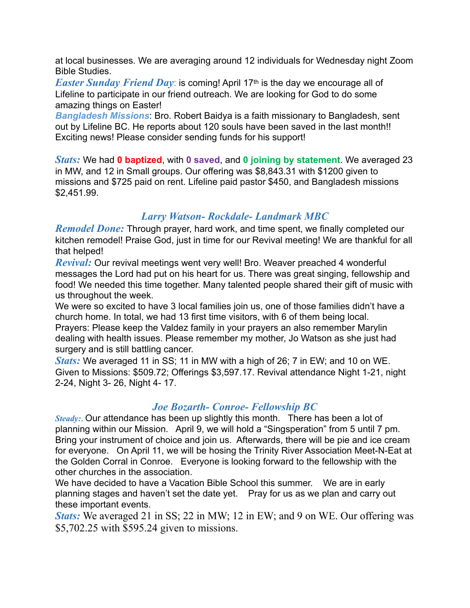at local businesses. We are averaging around 12 individuals for Wednesday night Zoom Bible Studies.

*Easter Sunday Friend Day*: is coming! April 17<sup>th</sup> is the day we encourage all of Lifeline to participate in our friend outreach. We are looking for God to do some amazing things on Easter!

*Bangladesh Missions*: Bro. Robert Baidya is a faith missionary to Bangladesh, sent out by Lifeline BC. He reports about 120 souls have been saved in the last month!! Exciting news! Please consider sending funds for his support!

*Stats:* We had **0 baptized**, with **0 saved**, and **0 joining by statement**. We averaged 23 in MW, and 12 in Small groups. Our offering was \$8,843.31 with \$1200 given to missions and \$725 paid on rent. Lifeline paid pastor \$450, and Bangladesh missions \$2,451.99.

### *Larry Watson- Rockdale- Landmark MBC*

*Remodel Done:* Through prayer, hard work, and time spent, we finally completed our kitchen remodel! Praise God, just in time for our Revival meeting! We are thankful for all that helped!

*Revival:* Our revival meetings went very well! Bro. Weaver preached 4 wonderful messages the Lord had put on his heart for us. There was great singing, fellowship and food! We needed this time together. Many talented people shared their gift of music with us throughout the week.

We were so excited to have 3 local families join us, one of those families didn't have a church home. In total, we had 13 first time visitors, with 6 of them being local. Prayers: Please keep the Valdez family in your prayers an also remember Marylin dealing with health issues. Please remember my mother, Jo Watson as she just had surgery and is still battling cancer.

*Stats:* We averaged 11 in SS; 11 in MW with a high of 26; 7 in EW; and 10 on WE. Given to Missions: \$509.72; Offerings \$3,597.17. Revival attendance Night 1-21, night 2-24, Night 3- 26, Night 4- 17.

#### *Joe Bozarth- Conroe- Fellowship BC*

*Steady:*. Our attendance has been up slightly this month. There has been a lot of planning within our Mission. April 9, we will hold a "Singsperation" from 5 until 7 pm. Bring your instrument of choice and join us. Afterwards, there will be pie and ice cream for everyone. On April 11, we will be hosing the Trinity River Association Meet-N-Eat at the Golden Corral in Conroe. Everyone is looking forward to the fellowship with the other churches in the association.

We have decided to have a Vacation Bible School this summer. We are in early planning stages and haven't set the date yet. Pray for us as we plan and carry out these important events.

*Stats:* We averaged 21 in SS; 22 in MW; 12 in EW; and 9 on WE. Our offering was \$5,702.25 with \$595.24 given to missions.